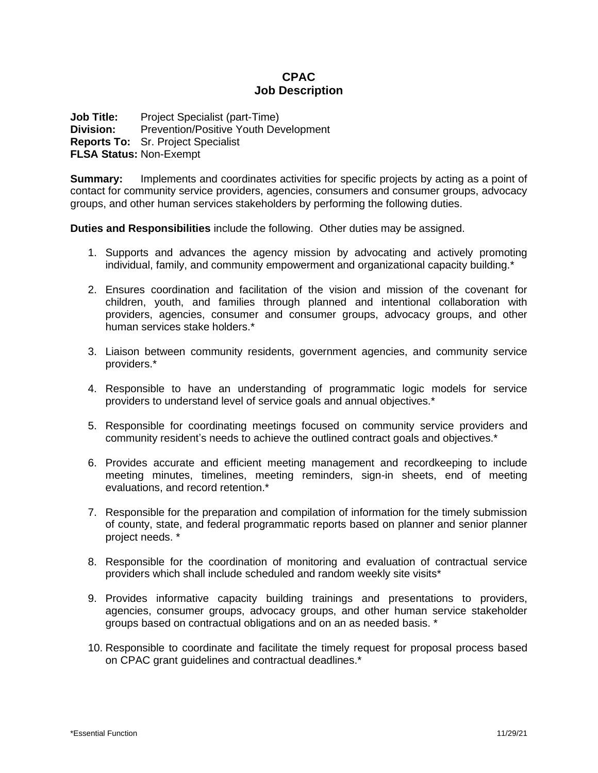# **CPAC Job Description**

**Job Title:** Project Specialist (part-Time) **Division:** Prevention/Positive Youth Development **Reports To:** Sr. Project Specialist **FLSA Status:** Non-Exempt

**Summary:** Implements and coordinates activities for specific projects by acting as a point of contact for community service providers, agencies, consumers and consumer groups, advocacy groups, and other human services stakeholders by performing the following duties.

**Duties and Responsibilities** include the following. Other duties may be assigned.

- 1. Supports and advances the agency mission by advocating and actively promoting individual, family, and community empowerment and organizational capacity building.\*
- 2. Ensures coordination and facilitation of the vision and mission of the covenant for children, youth, and families through planned and intentional collaboration with providers, agencies, consumer and consumer groups, advocacy groups, and other human services stake holders.\*
- 3. Liaison between community residents, government agencies, and community service providers.\*
- 4. Responsible to have an understanding of programmatic logic models for service providers to understand level of service goals and annual objectives.\*
- 5. Responsible for coordinating meetings focused on community service providers and community resident's needs to achieve the outlined contract goals and objectives.\*
- 6. Provides accurate and efficient meeting management and recordkeeping to include meeting minutes, timelines, meeting reminders, sign-in sheets, end of meeting evaluations, and record retention.\*
- 7. Responsible for the preparation and compilation of information for the timely submission of county, state, and federal programmatic reports based on planner and senior planner project needs. \*
- 8. Responsible for the coordination of monitoring and evaluation of contractual service providers which shall include scheduled and random weekly site visits\*
- 9. Provides informative capacity building trainings and presentations to providers, agencies, consumer groups, advocacy groups, and other human service stakeholder groups based on contractual obligations and on an as needed basis. \*
- 10. Responsible to coordinate and facilitate the timely request for proposal process based on CPAC grant guidelines and contractual deadlines.\*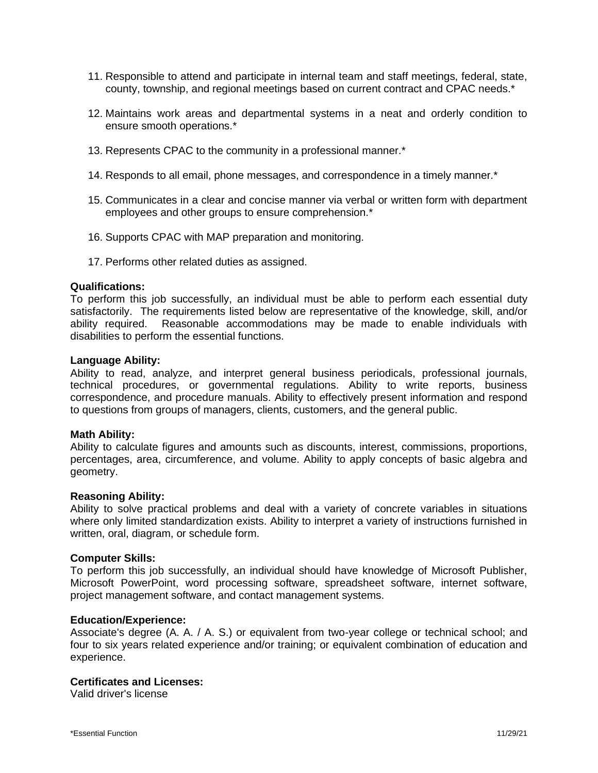- 11. Responsible to attend and participate in internal team and staff meetings, federal, state, county, township, and regional meetings based on current contract and CPAC needs.\*
- 12. Maintains work areas and departmental systems in a neat and orderly condition to ensure smooth operations.\*
- 13. Represents CPAC to the community in a professional manner.\*
- 14. Responds to all email, phone messages, and correspondence in a timely manner.\*
- 15. Communicates in a clear and concise manner via verbal or written form with department employees and other groups to ensure comprehension.\*
- 16. Supports CPAC with MAP preparation and monitoring.
- 17. Performs other related duties as assigned.

#### **Qualifications:**

To perform this job successfully, an individual must be able to perform each essential duty satisfactorily. The requirements listed below are representative of the knowledge, skill, and/or ability required. Reasonable accommodations may be made to enable individuals with disabilities to perform the essential functions.

#### **Language Ability:**

Ability to read, analyze, and interpret general business periodicals, professional journals, technical procedures, or governmental regulations. Ability to write reports, business correspondence, and procedure manuals. Ability to effectively present information and respond to questions from groups of managers, clients, customers, and the general public.

### **Math Ability:**

Ability to calculate figures and amounts such as discounts, interest, commissions, proportions, percentages, area, circumference, and volume. Ability to apply concepts of basic algebra and geometry.

### **Reasoning Ability:**

Ability to solve practical problems and deal with a variety of concrete variables in situations where only limited standardization exists. Ability to interpret a variety of instructions furnished in written, oral, diagram, or schedule form.

#### **Computer Skills:**

To perform this job successfully, an individual should have knowledge of Microsoft Publisher, Microsoft PowerPoint, word processing software, spreadsheet software, internet software, project management software, and contact management systems.

#### **Education/Experience:**

Associate's degree (A. A. / A. S.) or equivalent from two-year college or technical school; and four to six years related experience and/or training; or equivalent combination of education and experience.

# **Certificates and Licenses:**

Valid driver's license